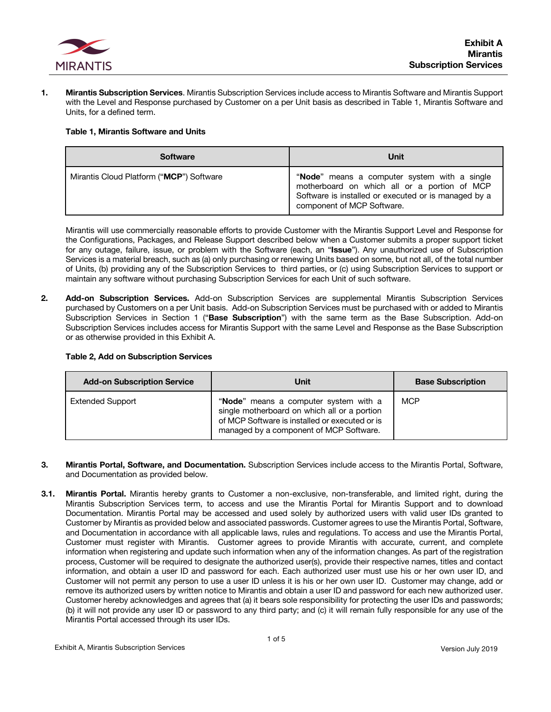

**1. Mirantis Subscription Services**. Mirantis Subscription Services include access to Mirantis Software and Mirantis Support with the Level and Response purchased by Customer on a per Unit basis as described in Table 1, Mirantis Software and Units, for a defined term.

### **Table 1, Mirantis Software and Units**

| <b>Software</b>                          | Unit                                                                                                                                                                               |
|------------------------------------------|------------------------------------------------------------------------------------------------------------------------------------------------------------------------------------|
| Mirantis Cloud Platform ("MCP") Software | "Node" means a computer system with a single<br>motherboard on which all or a portion of MCP<br>Software is installed or executed or is managed by a<br>component of MCP Software. |

Mirantis will use commercially reasonable efforts to provide Customer with the Mirantis Support Level and Response for the Configurations, Packages, and Release Support described below when a Customer submits a proper support ticket for any outage, failure, issue, or problem with the Software (each, an "**Issue**"). Any unauthorized use of Subscription Services is a material breach, such as (a) only purchasing or renewing Units based on some, but not all, of the total number of Units, (b) providing any of the Subscription Services to third parties, or (c) using Subscription Services to support or maintain any software without purchasing Subscription Services for each Unit of such software.

**2. Add-on Subscription Services.** Add-on Subscription Services are supplemental Mirantis Subscription Services purchased by Customers on a per Unit basis. Add-on Subscription Services must be purchased with or added to Mirantis Subscription Services in Section 1 ("**Base Subscription**") with the same term as the Base Subscription. Add-on Subscription Services includes access for Mirantis Support with the same Level and Response as the Base Subscription or as otherwise provided in this Exhibit A.

### **Table 2, Add on Subscription Services**

| <b>Add-on Subscription Service</b> | Unit                                                                                                                                                                               | <b>Base Subscription</b> |
|------------------------------------|------------------------------------------------------------------------------------------------------------------------------------------------------------------------------------|--------------------------|
| <b>Extended Support</b>            | "Node" means a computer system with a<br>single motherboard on which all or a portion<br>of MCP Software is installed or executed or is<br>managed by a component of MCP Software. | <b>MCP</b>               |

- **3. Mirantis Portal, Software, and Documentation.** Subscription Services include access to the Mirantis Portal, Software, and Documentation as provided below.
- **3.1. Mirantis Portal.** Mirantis hereby grants to Customer a non-exclusive, non-transferable, and limited right, during the Mirantis Subscription Services term, to access and use the Mirantis Portal for Mirantis Support and to download Documentation. Mirantis Portal may be accessed and used solely by authorized users with valid user IDs granted to Customer by Mirantis as provided below and associated passwords. Customer agrees to use the Mirantis Portal, Software, and Documentation in accordance with all applicable laws, rules and regulations. To access and use the Mirantis Portal, Customer must register with Mirantis. Customer agrees to provide Mirantis with accurate, current, and complete information when registering and update such information when any of the information changes. As part of the registration process, Customer will be required to designate the authorized user(s), provide their respective names, titles and contact information, and obtain a user ID and password for each. Each authorized user must use his or her own user ID, and Customer will not permit any person to use a user ID unless it is his or her own user ID. Customer may change, add or remove its authorized users by written notice to Mirantis and obtain a user ID and password for each new authorized user. Customer hereby acknowledges and agrees that (a) it bears sole responsibility for protecting the user IDs and passwords; (b) it will not provide any user ID or password to any third party; and (c) it will remain fully responsible for any use of the Mirantis Portal accessed through its user IDs.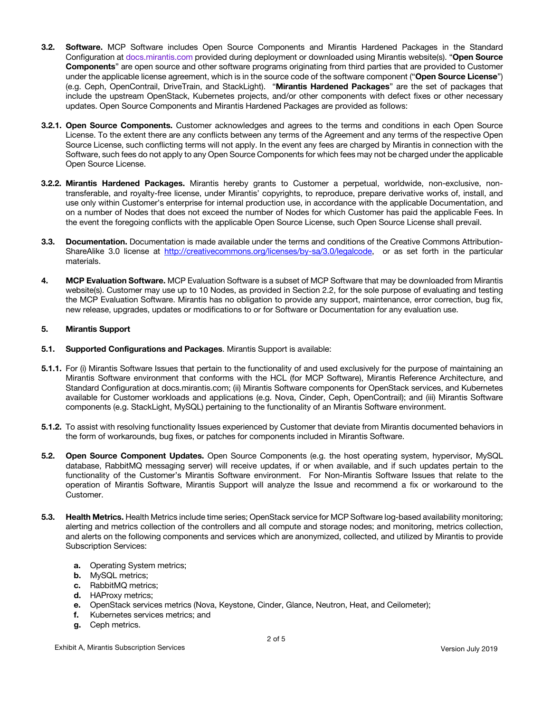- **3.2. Software.** MCP Software includes Open Source Components and Mirantis Hardened Packages in the Standard Configuration at docs.mirantis.com provided during deployment or downloaded using Mirantis website(s). "**Open Source Components**" are open source and other software programs originating from third parties that are provided to Customer under the applicable license agreement, which is in the source code of the software component ("**Open Source License**") (e.g. Ceph, OpenContrail, DriveTrain, and StackLight). "**Mirantis Hardened Packages**" are the set of packages that include the upstream OpenStack, Kubernetes projects, and/or other components with defect fixes or other necessary updates. Open Source Components and Mirantis Hardened Packages are provided as follows:
- **3.2.1. Open Source Components.** Customer acknowledges and agrees to the terms and conditions in each Open Source License. To the extent there are any conflicts between any terms of the Agreement and any terms of the respective Open Source License, such conflicting terms will not apply. In the event any fees are charged by Mirantis in connection with the Software, such fees do not apply to any Open Source Components for which fees may not be charged under the applicable Open Source License.
- **3.2.2. Mirantis Hardened Packages.** Mirantis hereby grants to Customer a perpetual, worldwide, non-exclusive, nontransferable, and royalty-free license, under Mirantis' copyrights, to reproduce, prepare derivative works of, install, and use only within Customer's enterprise for internal production use, in accordance with the applicable Documentation, and on a number of Nodes that does not exceed the number of Nodes for which Customer has paid the applicable Fees. In the event the foregoing conflicts with the applicable Open Source License, such Open Source License shall prevail.
- **3.3. Documentation.** Documentation is made available under the terms and conditions of the Creative Commons Attribution-ShareAlike 3.0 license at http://creativecommons.org/licenses/by-sa/3.0/legalcode, or as set forth in the particular materials.
- **4. MCP Evaluation Software.** MCP Evaluation Software is a subset of MCP Software that may be downloaded from Mirantis website(s). Customer may use up to 10 Nodes, as provided in Section 2.2, for the sole purpose of evaluating and testing the MCP Evaluation Software. Mirantis has no obligation to provide any support, maintenance, error correction, bug fix, new release, upgrades, updates or modifications to or for Software or Documentation for any evaluation use.

## **5. Mirantis Support**

- **5.1. Supported Configurations and Packages**. Mirantis Support is available:
- **5.1.1.** For (i) Mirantis Software Issues that pertain to the functionality of and used exclusively for the purpose of maintaining an Mirantis Software environment that conforms with the HCL (for MCP Software), Mirantis Reference Architecture, and Standard Configuration at docs.mirantis.com; (ii) Mirantis Software components for OpenStack services, and Kubernetes available for Customer workloads and applications (e.g. Nova, Cinder, Ceph, OpenContrail); and (iii) Mirantis Software components (e.g. StackLight, MySQL) pertaining to the functionality of an Mirantis Software environment.
- **5.1.2.** To assist with resolving functionality Issues experienced by Customer that deviate from Mirantis documented behaviors in the form of workarounds, bug fixes, or patches for components included in Mirantis Software.
- **5.2. Open Source Component Updates.** Open Source Components (e.g. the host operating system, hypervisor, MySQL database, RabbitMQ messaging server) will receive updates, if or when available, and if such updates pertain to the functionality of the Customer's Mirantis Software environment. For Non-Mirantis Software Issues that relate to the operation of Mirantis Software, Mirantis Support will analyze the Issue and recommend a fix or workaround to the Customer.
- **5.3. Health Metrics.** Health Metrics include time series; OpenStack service for MCP Software log-based availability monitoring; alerting and metrics collection of the controllers and all compute and storage nodes; and monitoring, metrics collection, and alerts on the following components and services which are anonymized, collected, and utilized by Mirantis to provide Subscription Services:
	- **a.** Operating System metrics;
	- **b.** MySQL metrics;
	- **c.** RabbitMQ metrics;
	- **d.** HAProxy metrics;
	- **e.** OpenStack services metrics (Nova, Keystone, Cinder, Glance, Neutron, Heat, and Ceilometer);
	- **f.** Kubernetes services metrics; and
	- **g.** Ceph metrics.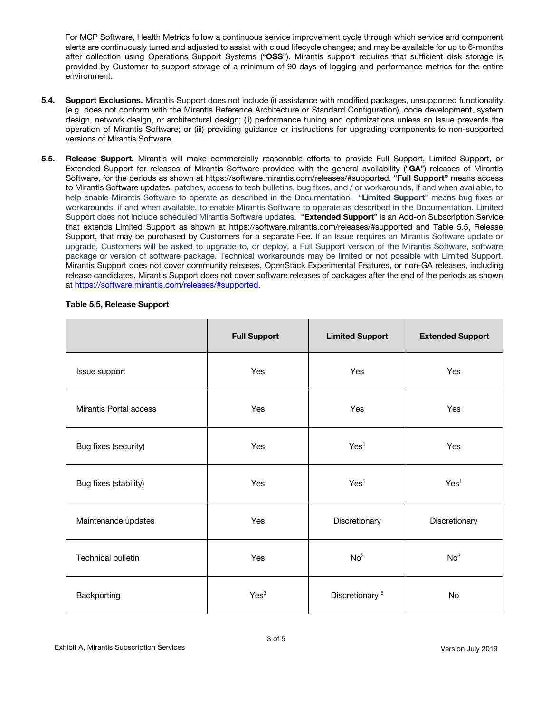For MCP Software, Health Metrics follow a continuous service improvement cycle through which service and component alerts are continuously tuned and adjusted to assist with cloud lifecycle changes; and may be available for up to 6-months after collection using Operations Support Systems ("**OSS**"). Mirantis support requires that sufficient disk storage is provided by Customer to support storage of a minimum of 90 days of logging and performance metrics for the entire environment.

- **5.4. Support Exclusions.** Mirantis Support does not include (i) assistance with modified packages, unsupported functionality (e.g. does not conform with the Mirantis Reference Architecture or Standard Configuration), code development, system design, network design, or architectural design; (ii) performance tuning and optimizations unless an Issue prevents the operation of Mirantis Software; or (iii) providing guidance or instructions for upgrading components to non-supported versions of Mirantis Software.
- **5.5. Release Support.** Mirantis will make commercially reasonable efforts to provide Full Support, Limited Support, or Extended Support for releases of Mirantis Software provided with the general availability ("**GA**") releases of Mirantis Software, for the periods as shown at https://software.mirantis.com/releases/#supported. "**Full Support"** means access to Mirantis Software updates, patches, access to tech bulletins, bug fixes, and / or workarounds, if and when available, to help enable Mirantis Software to operate as described in the Documentation. "**Limited Support**" means bug fixes or workarounds, if and when available, to enable Mirantis Software to operate as described in the Documentation. Limited Support does not include scheduled Mirantis Software updates. "**Extended Support**" is an Add-on Subscription Service that extends Limited Support as shown at https://software.mirantis.com/releases/#supported and Table 5.5, Release Support, that may be purchased by Customers for a separate Fee. If an Issue requires an Mirantis Software update or upgrade, Customers will be asked to upgrade to, or deploy, a Full Support version of the Mirantis Software, software package or version of software package. Technical workarounds may be limited or not possible with Limited Support. Mirantis Support does not cover community releases, OpenStack Experimental Features, or non-GA releases, including release candidates. Mirantis Support does not cover software releases of packages after the end of the periods as shown at https://software.mirantis.com/releases/#supported.

|                           | <b>Full Support</b> | <b>Limited Support</b>     | <b>Extended Support</b> |
|---------------------------|---------------------|----------------------------|-------------------------|
| Issue support             | Yes                 | Yes                        | Yes                     |
| Mirantis Portal access    | Yes                 | Yes                        | Yes                     |
| Bug fixes (security)      | Yes                 | Yes <sup>1</sup>           | <b>Yes</b>              |
| Bug fixes (stability)     | Yes                 | Yes <sup>1</sup>           | Yes <sup>1</sup>        |
| Maintenance updates       | Yes                 | Discretionary              | Discretionary           |
| <b>Technical bulletin</b> | Yes                 | No <sup>2</sup>            | No <sup>2</sup>         |
| Backporting               | Yes <sup>3</sup>    | Discretionary <sup>5</sup> | No                      |

# **Table 5.5, Release Support**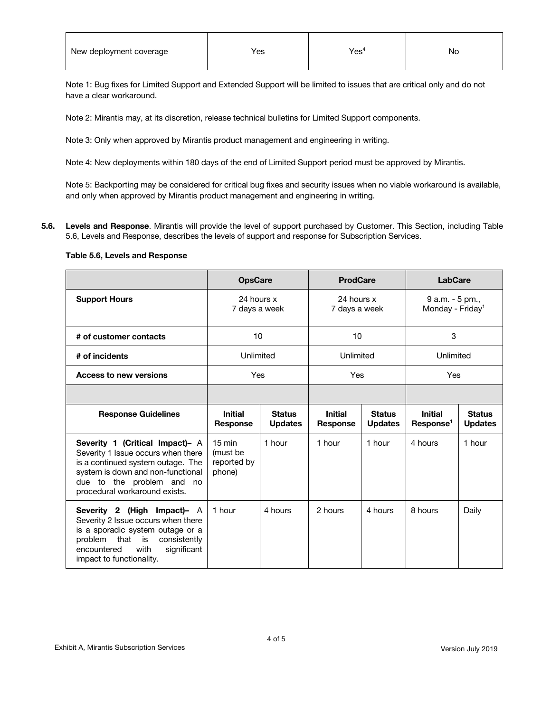| New deployment coverage | Yes. | Yesʻ | N0 |
|-------------------------|------|------|----|
|                         |      |      |    |

Note 1: Bug fixes for Limited Support and Extended Support will be limited to issues that are critical only and do not have a clear workaround.

Note 2: Mirantis may, at its discretion, release technical bulletins for Limited Support components.

Note 3: Only when approved by Mirantis product management and engineering in writing.

Note 4: New deployments within 180 days of the end of Limited Support period must be approved by Mirantis.

Note 5: Backporting may be considered for critical bug fixes and security issues when no viable workaround is available, and only when approved by Mirantis product management and engineering in writing.

**5.6. Levels and Response**. Mirantis will provide the level of support purchased by Customer. This Section, including Table 5.6, Levels and Response, describes the levels of support and response for Subscription Services.

### **Table 5.6, Levels and Response**

|                                                                                                                                                                                                               | <b>OpsCare</b>                                        |                                 | <b>ProdCare</b>                   |                                 | <b>LabCare</b>                                  |                                 |  |
|---------------------------------------------------------------------------------------------------------------------------------------------------------------------------------------------------------------|-------------------------------------------------------|---------------------------------|-----------------------------------|---------------------------------|-------------------------------------------------|---------------------------------|--|
| <b>Support Hours</b>                                                                                                                                                                                          | 24 hours x<br>7 days a week                           |                                 | 24 hours x<br>7 days a week       |                                 | 9 a.m. - 5 pm.,<br>Monday - Friday <sup>1</sup> |                                 |  |
| # of customer contacts                                                                                                                                                                                        | 10                                                    |                                 | 10                                |                                 | 3                                               |                                 |  |
| # of incidents                                                                                                                                                                                                |                                                       | Unlimited                       |                                   | Unlimited                       |                                                 | Unlimited                       |  |
| <b>Access to new versions</b>                                                                                                                                                                                 | Yes                                                   |                                 | Yes                               |                                 | Yes                                             |                                 |  |
|                                                                                                                                                                                                               |                                                       |                                 |                                   |                                 |                                                 |                                 |  |
| <b>Response Guidelines</b>                                                                                                                                                                                    | <b>Initial</b><br><b>Response</b>                     | <b>Status</b><br><b>Updates</b> | <b>Initial</b><br><b>Response</b> | <b>Status</b><br><b>Updates</b> | <b>Initial</b><br>Response <sup>1</sup>         | <b>Status</b><br><b>Updates</b> |  |
| Severity 1 (Critical Impact)- A<br>Severity 1 Issue occurs when there<br>is a continued system outage. The<br>system is down and non-functional<br>due to the problem and no<br>procedural workaround exists. | $15 \text{ min}$<br>(must be<br>reported by<br>phone) | 1 hour                          | 1 hour                            | 1 hour                          | 4 hours                                         | 1 hour                          |  |
| Severity 2 (High Impact)- A<br>Severity 2 Issue occurs when there<br>is a sporadic system outage or a<br>problem that is<br>consistently<br>encountered<br>with<br>significant<br>impact to functionality.    | 1 hour                                                | 4 hours                         | 2 hours                           | 4 hours                         | 8 hours                                         | Daily                           |  |